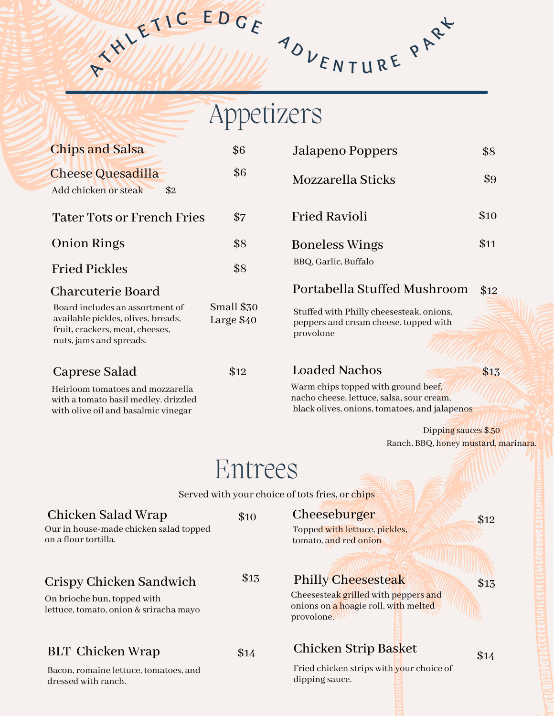$H = \n\begin{bmatrix}\n\frac{1}{2} & \frac{1}{2} & \frac{1}{2} \\
\frac{1}{2} & \frac{1}{2} & \frac{1}{2} & \frac{1}{2} \\
\frac{1}{2} & \frac{1}{2} & \frac{1}{2} & \frac{1}{2} \\
\frac{1}{2} & \frac{1}{2} & \frac{1}{2} & \frac{1}{2}\n\end{bmatrix}\n\begin{bmatrix}\n\frac{1}{2} & \frac{1}{2} & \frac{1}{2} & \frac{1}{2} \\
\frac{1}{2} & \frac{1}{2} & \frac{1}{2} & \frac{1}{2} \\
\frac{1}{2} & \frac{$ 

# Appetizers

| <b>Chips and Salsa</b>                                                                                                              | \$6                      | Jalapeno Poppers                                                                                                                  | \$8  |
|-------------------------------------------------------------------------------------------------------------------------------------|--------------------------|-----------------------------------------------------------------------------------------------------------------------------------|------|
| <b>Cheese Quesadilla</b><br>Add chicken or steak<br>\$2                                                                             | \$6                      | Mozzarella Sticks                                                                                                                 | \$9  |
| <b>Tater Tots or French Fries</b>                                                                                                   | \$7                      | <b>Fried Ravioli</b>                                                                                                              | \$10 |
| <b>Onion Rings</b>                                                                                                                  | \$8                      | <b>Boneless Wings</b>                                                                                                             | \$11 |
| <b>Fried Pickles</b>                                                                                                                | \$8                      | BBQ, Garlic, Buffalo                                                                                                              |      |
| <b>Charcuterie Board</b>                                                                                                            |                          | Portabella Stuffed Mushroom                                                                                                       | \$12 |
| Board includes an assortment of<br>available pickles, olives, breads,<br>fruit, crackers, meat, cheeses,<br>nuts, jams and spreads. | Small \$30<br>Large \$40 | Stuffed with Philly cheesesteak, onions,<br>peppers and cream cheese. topped with<br>provolone                                    |      |
| Caprese Salad                                                                                                                       | \$12                     | <b>Loaded Nachos</b>                                                                                                              | \$13 |
| Heirloom tomatoes and mozzarella<br>with a tomato basil medley. drizzled<br>with olive oil and basalmic vinegar                     |                          | Warm chips topped with ground beef,<br>nacho cheese, lettuce, salsa, sour cream,<br>black olives, onions, tomatoes, and jalapenos |      |
|                                                                                                                                     |                          | Dipping sauces \$.50                                                                                                              |      |
|                                                                                                                                     |                          | Ranch, BBQ, honey mustard, marinara.                                                                                              |      |
|                                                                                                                                     | Entrees                  |                                                                                                                                   |      |
|                                                                                                                                     |                          | Served with your choice of tots fries, or chips                                                                                   |      |
| Chicken Salad Wrap<br>Our in house-made chicken salad topped<br>on a flour tortilla.                                                | \$10                     | Cheeseburger<br>Topped with lettuce, pickles,<br>tomato, and red onion                                                            | \$12 |
| Crispy Chicken Sandwich                                                                                                             | \$15                     | <b>Philly Cheesesteak</b>                                                                                                         | \$13 |
| On brioche bun, topped with<br>lettuce, tomato, onion & sriracha mayo                                                               |                          | Cheesesteak grilled with peppers and<br>onions on a hoagie roll, with melted<br>provolone.                                        |      |
| <b>BLT</b> Chicken Wrap                                                                                                             | \$14                     | Chicken Strip Basket                                                                                                              | \$14 |
| Bacon, romaine lettuce, tomatoes, and<br>dressed with ranch.                                                                        |                          | Fried chicken strips with your choice of<br>dipping sauce.                                                                        |      |